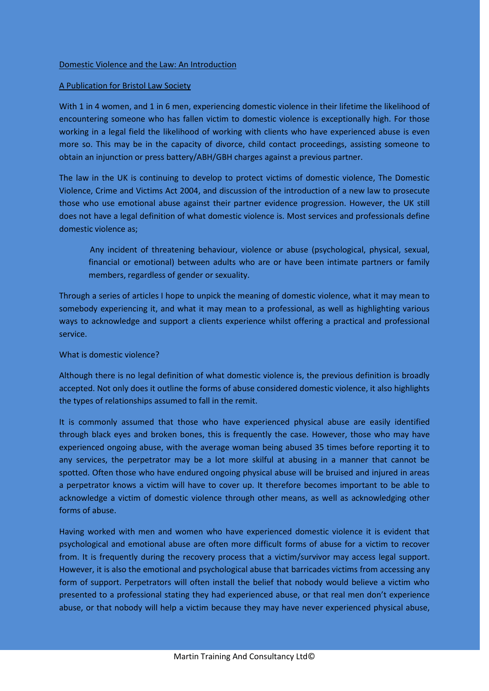## A Publication for Bristol Law Society

With 1 in 4 women, and 1 in 6 men, experiencing domestic violence in their lifetime the likelihood of encountering someone who has fallen victim to domestic violence is exceptionally high. For those working in a legal field the likelihood of working with clients who have experienced abuse is even more so. This may be in the capacity of divorce, child contact proceedings, assisting someone to obtain an injunction or press battery/ABH/GBH charges against a previous partner.

The law in the UK is continuing to develop to protect victims of domestic violence, The Domestic Violence, Crime and Victims Act 2004, and discussion of the introduction of a new law to prosecute those who use emotional abuse against their partner evidence progression. However, the UK still does not have a legal definition of what domestic violence is. Most services and professionals define domestic violence as;

Any incident of threatening behaviour, violence or abuse (psychological, physical, sexual, financial or emotional) between adults who are or have been intimate partners or family members, regardless of gender or sexuality.

Through a series of articles I hope to unpick the meaning of domestic violence, what it may mean to somebody experiencing it, and what it may mean to a professional, as well as highlighting various ways to acknowledge and support a clients experience whilst offering a practical and professional service.

## What is domestic violence?

Although there is no legal definition of what domestic violence is, the previous definition is broadly accepted. Not only does it outline the forms of abuse considered domestic violence, it also highlights the types of relationships assumed to fall in the remit.

It is commonly assumed that those who have experienced physical abuse are easily identified through black eyes and broken bones, this is frequently the case. However, those who may have experienced ongoing abuse, with the average woman being abused 35 times before reporting it to any services, the perpetrator may be a lot more skilful at abusing in a manner that cannot be spotted. Often those who have endured ongoing physical abuse will be bruised and injured in areas a perpetrator knows a victim will have to cover up. It therefore becomes important to be able to acknowledge a victim of domestic violence through other means, as well as acknowledging other forms of abuse.

Having worked with men and women who have experienced domestic violence it is evident that psychological and emotional abuse are often more difficult forms of abuse for a victim to recover from. It is frequently during the recovery process that a victim/survivor may access legal support. However, it is also the emotional and psychological abuse that barricades victims from accessing any form of support. Perpetrators will often install the belief that nobody would believe a victim who presented to a professional stating they had experienced abuse, or that real men don't experience abuse, or that nobody will help a victim because they may have never experienced physical abuse,